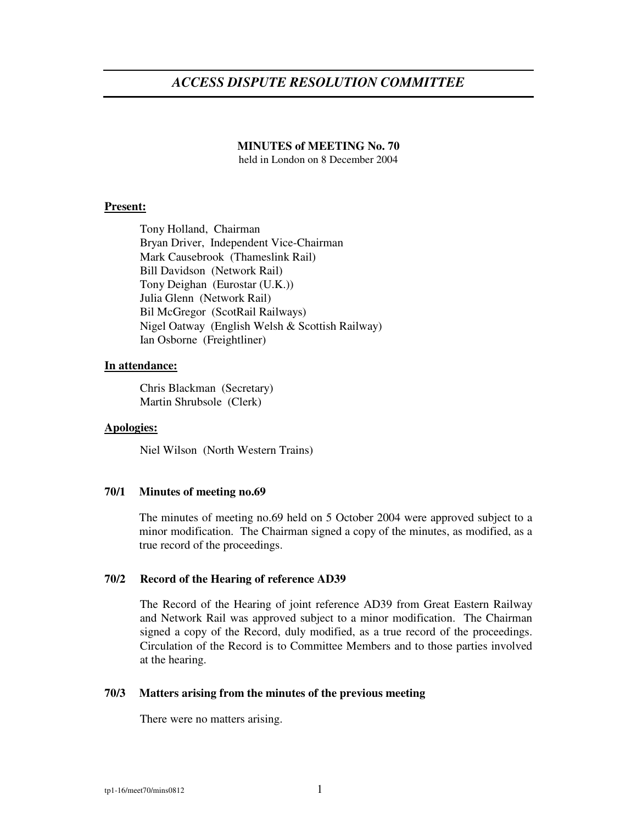# *ACCESS DISPUTE RESOLUTION COMMITTEE*

### **MINUTES of MEETING No. 70**

held in London on 8 December 2004

### **Present:**

Tony Holland, Chairman Bryan Driver, Independent Vice-Chairman Mark Causebrook (Thameslink Rail) Bill Davidson (Network Rail) Tony Deighan (Eurostar (U.K.)) Julia Glenn (Network Rail) Bil McGregor (ScotRail Railways) Nigel Oatway (English Welsh & Scottish Railway) Ian Osborne (Freightliner)

### **In attendance:**

Chris Blackman (Secretary) Martin Shrubsole (Clerk)

### **Apologies:**

Niel Wilson (North Western Trains)

### **70/1 Minutes of meeting no.69**

The minutes of meeting no.69 held on 5 October 2004 were approved subject to a minor modification. The Chairman signed a copy of the minutes, as modified, as a true record of the proceedings.

### **70/2 Record of the Hearing of reference AD39**

The Record of the Hearing of joint reference AD39 from Great Eastern Railway and Network Rail was approved subject to a minor modification. The Chairman signed a copy of the Record, duly modified, as a true record of the proceedings. Circulation of the Record is to Committee Members and to those parties involved at the hearing.

### **70/3 Matters arising from the minutes of the previous meeting**

There were no matters arising.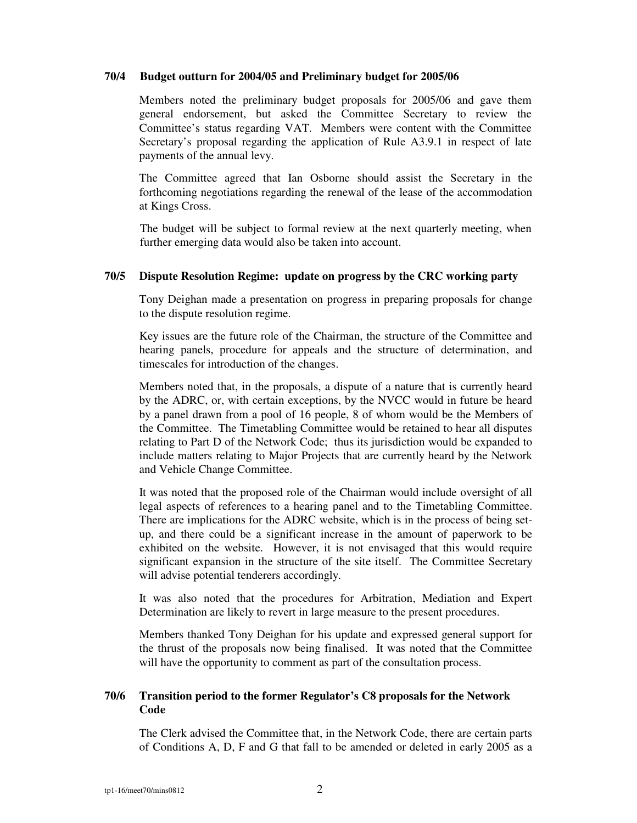### **70/4 Budget outturn for 2004/05 and Preliminary budget for 2005/06**

Members noted the preliminary budget proposals for 2005/06 and gave them general endorsement, but asked the Committee Secretary to review the Committee's status regarding VAT. Members were content with the Committee Secretary's proposal regarding the application of Rule A3.9.1 in respect of late payments of the annual levy.

The Committee agreed that Ian Osborne should assist the Secretary in the forthcoming negotiations regarding the renewal of the lease of the accommodation at Kings Cross.

The budget will be subject to formal review at the next quarterly meeting, when further emerging data would also be taken into account.

### **70/5 Dispute Resolution Regime: update on progress by the CRC working party**

Tony Deighan made a presentation on progress in preparing proposals for change to the dispute resolution regime.

Key issues are the future role of the Chairman, the structure of the Committee and hearing panels, procedure for appeals and the structure of determination, and timescales for introduction of the changes.

Members noted that, in the proposals, a dispute of a nature that is currently heard by the ADRC, or, with certain exceptions, by the NVCC would in future be heard by a panel drawn from a pool of 16 people, 8 of whom would be the Members of the Committee. The Timetabling Committee would be retained to hear all disputes relating to Part D of the Network Code; thus its jurisdiction would be expanded to include matters relating to Major Projects that are currently heard by the Network and Vehicle Change Committee.

It was noted that the proposed role of the Chairman would include oversight of all legal aspects of references to a hearing panel and to the Timetabling Committee. There are implications for the ADRC website, which is in the process of being setup, and there could be a significant increase in the amount of paperwork to be exhibited on the website. However, it is not envisaged that this would require significant expansion in the structure of the site itself. The Committee Secretary will advise potential tenderers accordingly.

It was also noted that the procedures for Arbitration, Mediation and Expert Determination are likely to revert in large measure to the present procedures.

Members thanked Tony Deighan for his update and expressed general support for the thrust of the proposals now being finalised. It was noted that the Committee will have the opportunity to comment as part of the consultation process.

# **70/6 Transition period to the former Regulator's C8 proposals for the Network Code**

The Clerk advised the Committee that, in the Network Code, there are certain parts of Conditions A, D, F and G that fall to be amended or deleted in early 2005 as a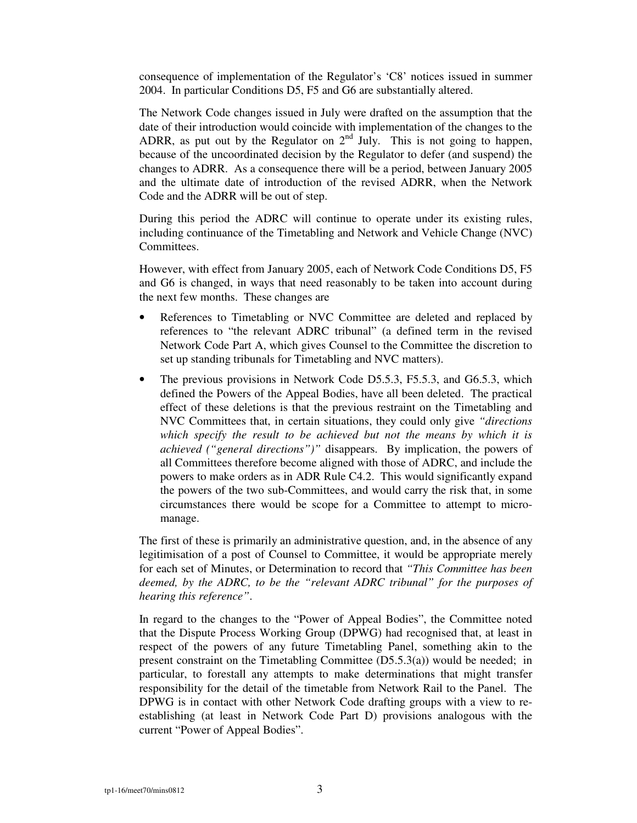consequence of implementation of the Regulator's 'C8' notices issued in summer 2004. In particular Conditions D5, F5 and G6 are substantially altered.

The Network Code changes issued in July were drafted on the assumption that the date of their introduction would coincide with implementation of the changes to the ADRR, as put out by the Regulator on  $2<sup>nd</sup>$  July. This is not going to happen, because of the uncoordinated decision by the Regulator to defer (and suspend) the changes to ADRR. As a consequence there will be a period, between January 2005 and the ultimate date of introduction of the revised ADRR, when the Network Code and the ADRR will be out of step.

During this period the ADRC will continue to operate under its existing rules, including continuance of the Timetabling and Network and Vehicle Change (NVC) Committees.

However, with effect from January 2005, each of Network Code Conditions D5, F5 and G6 is changed, in ways that need reasonably to be taken into account during the next few months. These changes are

- References to Timetabling or NVC Committee are deleted and replaced by references to "the relevant ADRC tribunal" (a defined term in the revised Network Code Part A, which gives Counsel to the Committee the discretion to set up standing tribunals for Timetabling and NVC matters).
- The previous provisions in Network Code D5.5.3, F5.5.3, and G6.5.3, which defined the Powers of the Appeal Bodies, have all been deleted. The practical effect of these deletions is that the previous restraint on the Timetabling and NVC Committees that, in certain situations, they could only give *"directions which specify the result to be achieved but not the means by which it is achieved ("general directions")"* disappears. By implication, the powers of all Committees therefore become aligned with those of ADRC, and include the powers to make orders as in ADR Rule C4.2. This would significantly expand the powers of the two sub-Committees, and would carry the risk that, in some circumstances there would be scope for a Committee to attempt to micromanage.

The first of these is primarily an administrative question, and, in the absence of any legitimisation of a post of Counsel to Committee, it would be appropriate merely for each set of Minutes, or Determination to record that *"This Committee has been deemed, by the ADRC, to be the "relevant ADRC tribunal" for the purposes of hearing this reference"*.

In regard to the changes to the "Power of Appeal Bodies", the Committee noted that the Dispute Process Working Group (DPWG) had recognised that, at least in respect of the powers of any future Timetabling Panel, something akin to the present constraint on the Timetabling Committee (D5.5.3(a)) would be needed; in particular, to forestall any attempts to make determinations that might transfer responsibility for the detail of the timetable from Network Rail to the Panel. The DPWG is in contact with other Network Code drafting groups with a view to reestablishing (at least in Network Code Part D) provisions analogous with the current "Power of Appeal Bodies".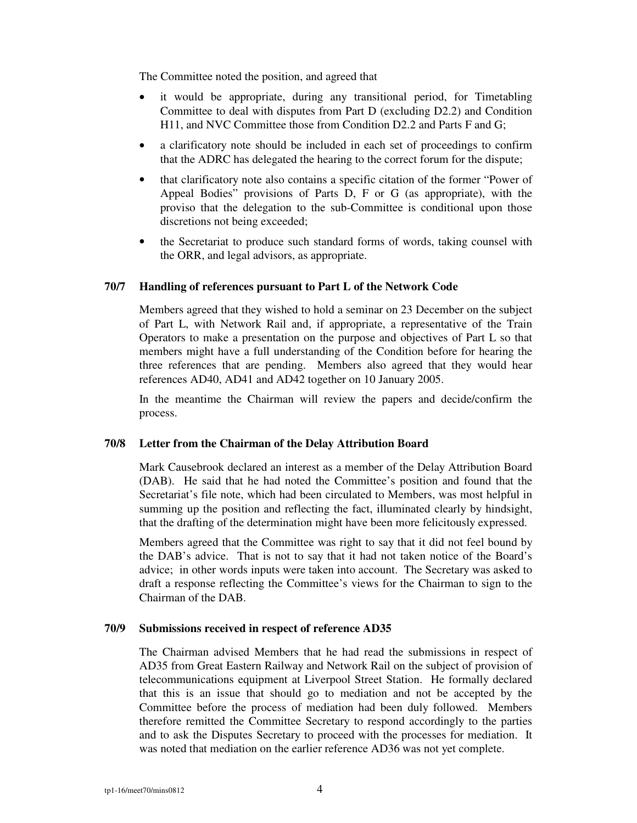The Committee noted the position, and agreed that

- it would be appropriate, during any transitional period, for Timetabling Committee to deal with disputes from Part D (excluding D2.2) and Condition H11, and NVC Committee those from Condition D2.2 and Parts F and G;
- a clarificatory note should be included in each set of proceedings to confirm that the ADRC has delegated the hearing to the correct forum for the dispute;
- that clarificatory note also contains a specific citation of the former "Power of Appeal Bodies" provisions of Parts D, F or G (as appropriate), with the proviso that the delegation to the sub-Committee is conditional upon those discretions not being exceeded;
- the Secretariat to produce such standard forms of words, taking counsel with the ORR, and legal advisors, as appropriate.

# **70/7 Handling of references pursuant to Part L of the Network Code**

Members agreed that they wished to hold a seminar on 23 December on the subject of Part L, with Network Rail and, if appropriate, a representative of the Train Operators to make a presentation on the purpose and objectives of Part L so that members might have a full understanding of the Condition before for hearing the three references that are pending. Members also agreed that they would hear references AD40, AD41 and AD42 together on 10 January 2005.

In the meantime the Chairman will review the papers and decide/confirm the process.

# **70/8 Letter from the Chairman of the Delay Attribution Board**

Mark Causebrook declared an interest as a member of the Delay Attribution Board (DAB). He said that he had noted the Committee's position and found that the Secretariat's file note, which had been circulated to Members, was most helpful in summing up the position and reflecting the fact, illuminated clearly by hindsight, that the drafting of the determination might have been more felicitously expressed.

Members agreed that the Committee was right to say that it did not feel bound by the DAB's advice. That is not to say that it had not taken notice of the Board's advice; in other words inputs were taken into account. The Secretary was asked to draft a response reflecting the Committee's views for the Chairman to sign to the Chairman of the DAB.

### **70/9 Submissions received in respect of reference AD35**

The Chairman advised Members that he had read the submissions in respect of AD35 from Great Eastern Railway and Network Rail on the subject of provision of telecommunications equipment at Liverpool Street Station. He formally declared that this is an issue that should go to mediation and not be accepted by the Committee before the process of mediation had been duly followed. Members therefore remitted the Committee Secretary to respond accordingly to the parties and to ask the Disputes Secretary to proceed with the processes for mediation. It was noted that mediation on the earlier reference AD36 was not yet complete.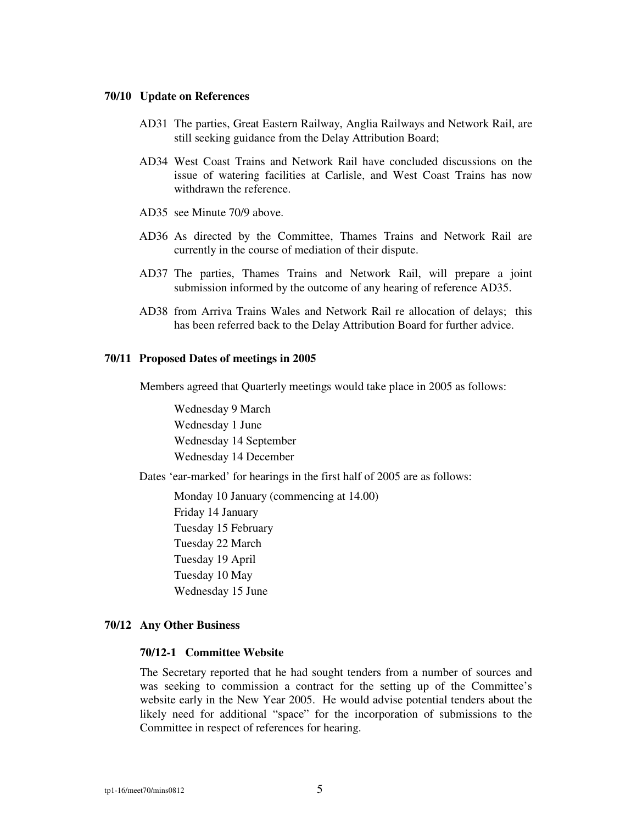### **70/10 Update on References**

- AD31 The parties, Great Eastern Railway, Anglia Railways and Network Rail, are still seeking guidance from the Delay Attribution Board;
- AD34 West Coast Trains and Network Rail have concluded discussions on the issue of watering facilities at Carlisle, and West Coast Trains has now withdrawn the reference.
- AD35 see Minute 70/9 above.
- AD36 As directed by the Committee, Thames Trains and Network Rail are currently in the course of mediation of their dispute.
- AD37 The parties, Thames Trains and Network Rail, will prepare a joint submission informed by the outcome of any hearing of reference AD35.
- AD38 from Arriva Trains Wales and Network Rail re allocation of delays; this has been referred back to the Delay Attribution Board for further advice.

#### **70/11 Proposed Dates of meetings in 2005**

Members agreed that Quarterly meetings would take place in 2005 as follows:

Wednesday 9 March Wednesday 1 June Wednesday 14 September Wednesday 14 December

Dates 'ear-marked' for hearings in the first half of 2005 are as follows:

Monday 10 January (commencing at 14.00) Friday 14 January Tuesday 15 February Tuesday 22 March Tuesday 19 April Tuesday 10 May Wednesday 15 June

#### **70/12 Any Other Business**

#### **70/12-1 Committee Website**

The Secretary reported that he had sought tenders from a number of sources and was seeking to commission a contract for the setting up of the Committee's website early in the New Year 2005. He would advise potential tenders about the likely need for additional "space" for the incorporation of submissions to the Committee in respect of references for hearing.